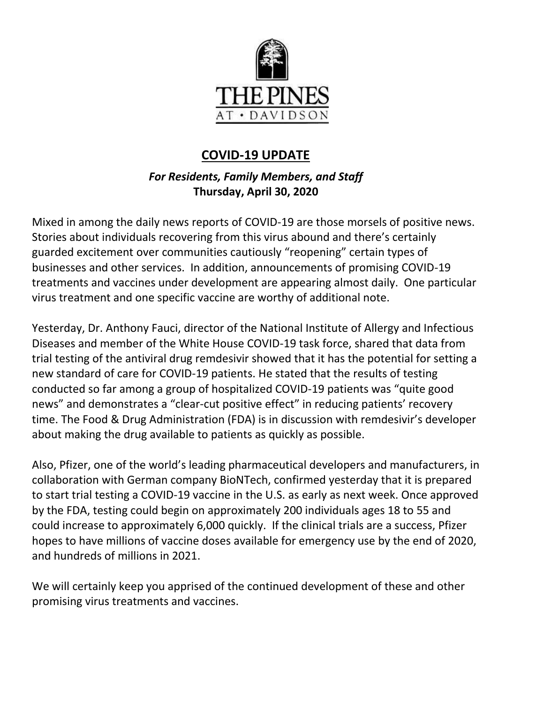

# **COVID-19 UPDATE**

# *For Residents, Family Members, and Staff* **Thursday, April 30, 2020**

Mixed in among the daily news reports of COVID-19 are those morsels of positive news. Stories about individuals recovering from this virus abound and there's certainly guarded excitement over communities cautiously "reopening" certain types of businesses and other services. In addition, announcements of promising COVID-19 treatments and vaccines under development are appearing almost daily. One particular virus treatment and one specific vaccine are worthy of additional note.

Yesterday, Dr. Anthony Fauci, director of the National Institute of Allergy and Infectious Diseases and member of the White House COVID-19 task force, shared that data from trial testing of the antiviral drug remdesivir showed that it has the potential for setting a new standard of care for COVID-19 patients. He stated that the results of testing conducted so far among a group of hospitalized COVID-19 patients was "quite good news" and demonstrates a "clear-cut positive effect" in reducing patients' recovery time. The Food & Drug Administration (FDA) is in discussion with remdesivir's developer about making the drug available to patients as quickly as possible.

Also, Pfizer, one of the world's leading pharmaceutical developers and manufacturers, in collaboration with German company BioNTech, confirmed yesterday that it is prepared to start trial testing a COVID-19 vaccine in the U.S. as early as next week. Once approved by the FDA, testing could begin on approximately 200 individuals ages 18 to 55 and could increase to approximately 6,000 quickly. If the clinical trials are a success, Pfizer hopes to have millions of vaccine doses available for emergency use by the end of 2020, and hundreds of millions in 2021.

We will certainly keep you apprised of the continued development of these and other promising virus treatments and vaccines.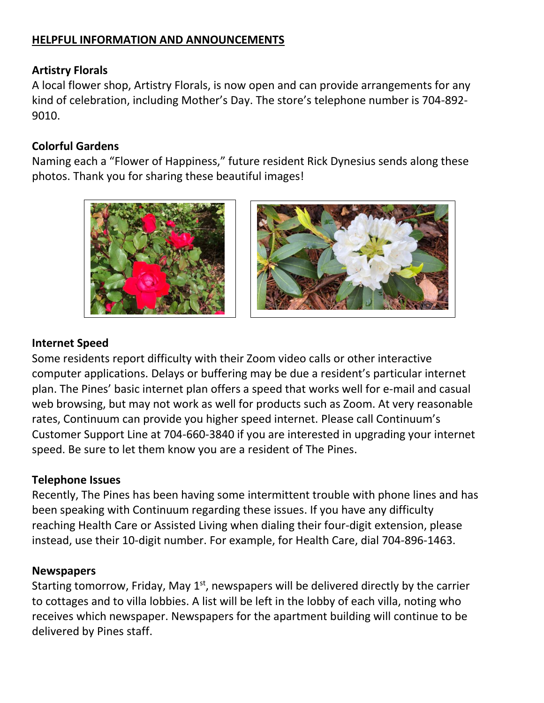# **HELPFUL INFORMATION AND ANNOUNCEMENTS**

#### **Artistry Florals**

A local flower shop, Artistry Florals, is now open and can provide arrangements for any kind of celebration, including Mother's Day. The store's telephone number is 704-892- 9010.

### **Colorful Gardens**

Naming each a "Flower of Happiness," future resident Rick Dynesius sends along these photos. Thank you for sharing these beautiful images!





#### **Internet Speed**

Some residents report difficulty with their Zoom video calls or other interactive computer applications. Delays or buffering may be due a resident's particular internet plan. The Pines' basic internet plan offers a speed that works well for e-mail and casual web browsing, but may not work as well for products such as Zoom. At very reasonable rates, Continuum can provide you higher speed internet. Please call Continuum's Customer Support Line at 704-660-3840 if you are interested in upgrading your internet speed. Be sure to let them know you are a resident of The Pines.

#### **Telephone Issues**

Recently, The Pines has been having some intermittent trouble with phone lines and has been speaking with Continuum regarding these issues. If you have any difficulty reaching Health Care or Assisted Living when dialing their four-digit extension, please instead, use their 10-digit number. For example, for Health Care, dial 704-896-1463.

#### **Newspapers**

Starting tomorrow, Friday, May 1<sup>st</sup>, newspapers will be delivered directly by the carrier to cottages and to villa lobbies. A list will be left in the lobby of each villa, noting who receives which newspaper. Newspapers for the apartment building will continue to be delivered by Pines staff.